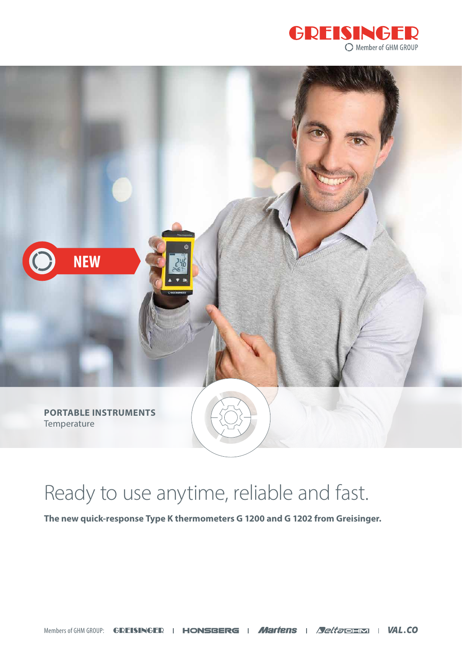



## Ready to use anytime, reliable and fast.

**The new quick-response Type K thermometers G 1200 and G 1202 from Greisinger.**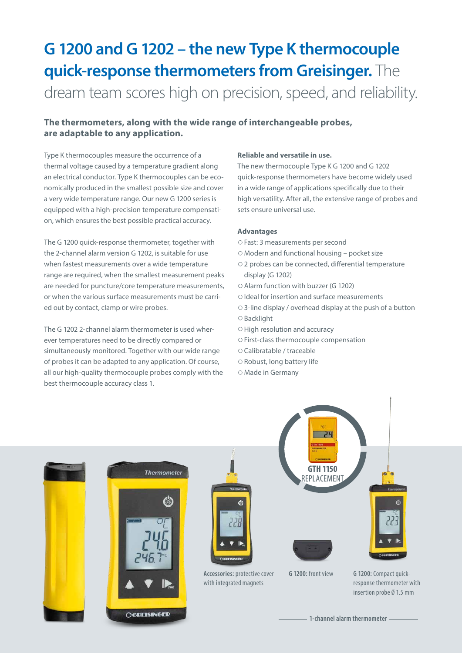### **G 1200 and G 1202 – the new Type K thermocouple quick-response thermometers from Greisinger.** The dream team scores high on precision, speed, and reliability.

#### **The thermometers, along with the wide range of interchangeable probes, are adaptable to any application.**

Type K thermocouples measure the occurrence of a thermal voltage caused by a temperature gradient along an electrical conductor. Type K thermocouples can be economically produced in the smallest possible size and cover a very wide temperature range. Our new G 1200 series is equipped with a high-precision temperature compensation, which ensures the best possible practical accuracy.

The G 1200 quick-response thermometer, together with the 2-channel alarm version G 1202, is suitable for use when fastest measurements over a wide temperature range are required, when the smallest measurement peaks are needed for puncture/core temperature measurements, or when the various surface measurements must be carried out by contact, clamp or wire probes.

The G 1202 2-channel alarm thermometer is used wherever temperatures need to be directly compared or simultaneously monitored. Together with our wide range of probes it can be adapted to any application. Of course, all our high-quality thermocouple probes comply with the best thermocouple accuracy class 1.

#### **Reliable and versatile in use.**

The new thermocouple Type K G 1200 and G 1202 quick-response thermometers have become widely used in a wide range of applications specifically due to their high versatility. After all, the extensive range of probes and sets ensure universal use.

#### **Advantages**

- ○Fast: 3 measurements per second
- ○Modern and functional housing pocket size
- ○2 probes can be connected, differential temperature display (G 1202)
- ○Alarm function with buzzer (G 1202)
- ○Ideal for insertion and surface measurements
- ○3-line display / overhead display at the push of a button
- ○Backlight
- ○High resolution and accuracy
- ○First-class thermocouple compensation
- ○Calibratable / traceable
- ○Robust, long battery life
- ○Made in Germany

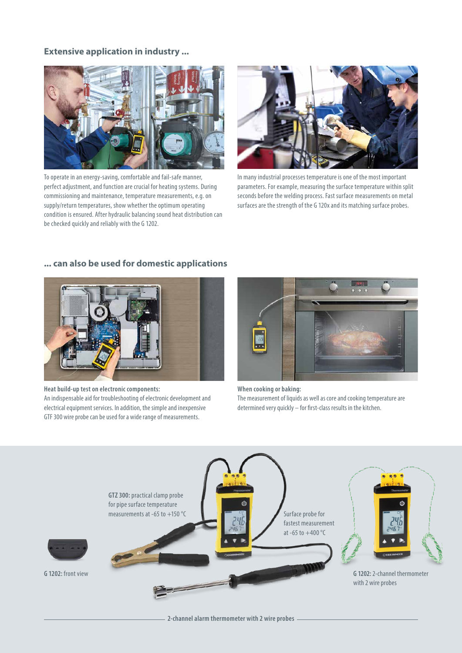#### **Extensive application in industry ...**



To operate in an energy-saving, comfortable and fail-safe manner, perfect adjustment, and function are crucial for heating systems. During commissioning and maintenance, temperature measurements, e.g. on supply/return temperatures, show whether the optimum operating condition is ensured. After hydraulic balancing sound heat distribution can be checked quickly and reliably with the G 1202.



In many industrial processes temperature is one of the most important parameters. For example, measuring the surface temperature within split seconds before the welding process. Fast surface measurements on metal surfaces are the strength of the G 120x and its matching surface probes.

#### **... can also be used for domestic applications**



**Heat build-up test on electronic components:**  An indispensable aid for troubleshooting of electronic development and electrical equipment services. In addition, the simple and inexpensive GTF 300 wire probe can be used for a wide range of measurements.



**When cooking or baking:**  The measurement of liquids as well as core and cooking temperature are determined very quickly – for first-class results in the kitchen.